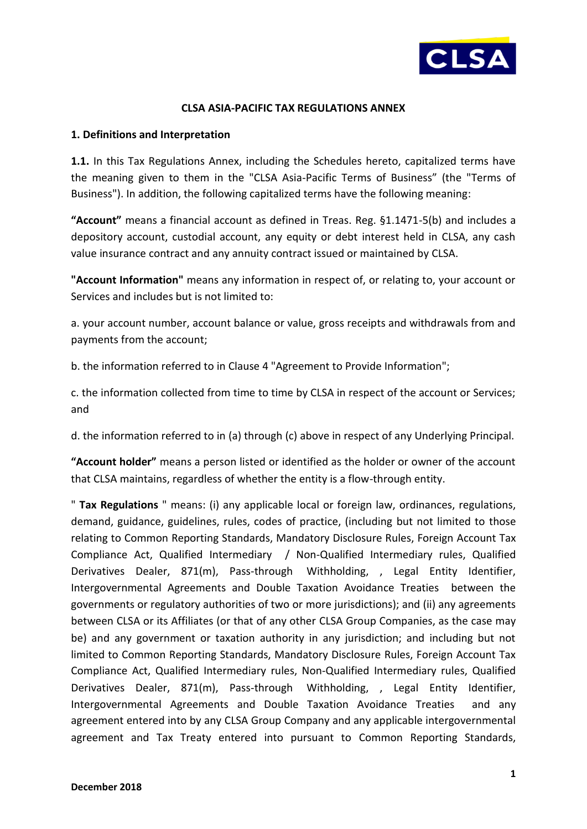

### **CLSA ASIA-PACIFIC TAX REGULATIONS ANNEX**

### **1. Definitions and Interpretation**

**1.1.** In this Tax Regulations Annex, including the Schedules hereto, capitalized terms have the meaning given to them in the "CLSA Asia-Pacific Terms of Business" (the "Terms of Business"). In addition, the following capitalized terms have the following meaning:

**"Account"** means a financial account as defined in Treas. Reg. §1.1471-5(b) and includes a depository account, custodial account, any equity or debt interest held in CLSA, any cash value insurance contract and any annuity contract issued or maintained by CLSA.

**"Account Information"** means any information in respect of, or relating to, your account or Services and includes but is not limited to:

a. your account number, account balance or value, gross receipts and withdrawals from and payments from the account;

b. the information referred to in Clause 4 "Agreement to Provide Information";

c. the information collected from time to time by CLSA in respect of the account or Services; and

d. the information referred to in (a) through (c) above in respect of any Underlying Principal.

**"Account holder"** means a person listed or identified as the holder or owner of the account that CLSA maintains, regardless of whether the entity is a flow-through entity.

" **Tax Regulations** " means: (i) any applicable local or foreign law, ordinances, regulations, demand, guidance, guidelines, rules, codes of practice, (including but not limited to those relating to Common Reporting Standards, Mandatory Disclosure Rules, Foreign Account Tax Compliance Act, Qualified Intermediary / Non-Qualified Intermediary rules, Qualified Derivatives Dealer, 871(m), Pass-through Withholding, , Legal Entity Identifier, Intergovernmental Agreements and Double Taxation Avoidance Treaties between the governments or regulatory authorities of two or more jurisdictions); and (ii) any agreements between CLSA or its Affiliates (or that of any other CLSA Group Companies, as the case may be) and any government or taxation authority in any jurisdiction; and including but not limited to Common Reporting Standards, Mandatory Disclosure Rules, Foreign Account Tax Compliance Act, Qualified Intermediary rules, Non-Qualified Intermediary rules, Qualified Derivatives Dealer, 871(m), Pass-through Withholding, , Legal Entity Identifier, Intergovernmental Agreements and Double Taxation Avoidance Treaties and any agreement entered into by any CLSA Group Company and any applicable intergovernmental agreement and Tax Treaty entered into pursuant to Common Reporting Standards,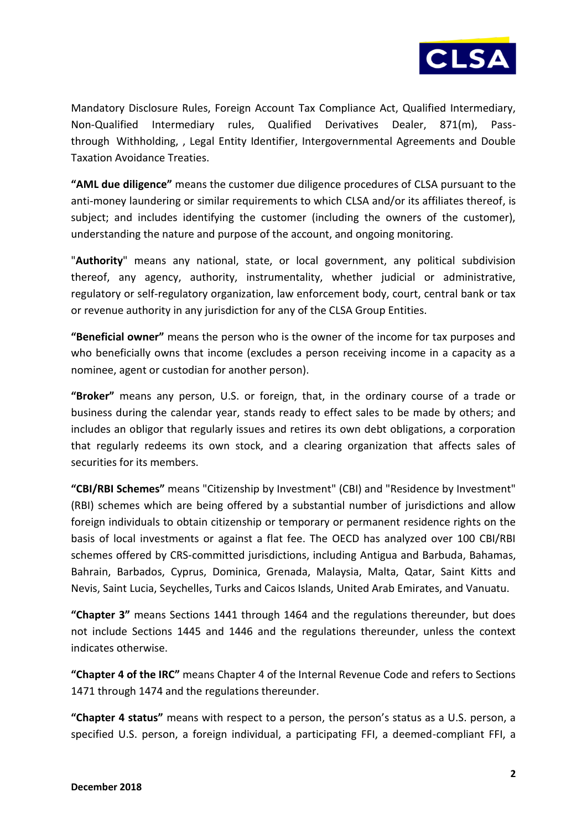

Mandatory Disclosure Rules, Foreign Account Tax Compliance Act, Qualified Intermediary, Non-Qualified Intermediary rules, Qualified Derivatives Dealer, 871(m), Passthrough Withholding, , Legal Entity Identifier, Intergovernmental Agreements and Double Taxation Avoidance Treaties.

**"AML due diligence"** means the customer due diligence procedures of CLSA pursuant to the anti-money laundering or similar requirements to which CLSA and/or its affiliates thereof, is subject; and includes identifying the customer (including the owners of the customer), understanding the nature and purpose of the account, and ongoing monitoring.

"**Authority**" means any national, state, or local government, any political subdivision thereof, any agency, authority, instrumentality, whether judicial or administrative, regulatory or self-regulatory organization, law enforcement body, court, central bank or tax or revenue authority in any jurisdiction for any of the CLSA Group Entities.

**"Beneficial owner"** means the person who is the owner of the income for tax purposes and who beneficially owns that income (excludes a person receiving income in a capacity as a nominee, agent or custodian for another person).

**"Broker"** means any person, U.S. or foreign, that, in the ordinary course of a trade or business during the calendar year, stands ready to effect sales to be made by others; and includes an obligor that regularly issues and retires its own debt obligations, a corporation that regularly redeems its own stock, and a clearing organization that affects sales of securities for its members.

**"CBI/RBI Schemes"** means "Citizenship by Investment" (CBI) and "Residence by Investment" (RBI) schemes which are being offered by a substantial number of jurisdictions and allow foreign individuals to obtain citizenship or temporary or permanent residence rights on the basis of local investments or against a flat fee. The OECD has analyzed over 100 CBI/RBI schemes offered by CRS-committed jurisdictions, including Antigua and Barbuda, Bahamas, Bahrain, Barbados, Cyprus, Dominica, Grenada, Malaysia, Malta, Qatar, Saint Kitts and Nevis, Saint Lucia, Seychelles, Turks and Caicos Islands, United Arab Emirates, and Vanuatu.

**"Chapter 3"** means Sections 1441 through 1464 and the regulations thereunder, but does not include Sections 1445 and 1446 and the regulations thereunder, unless the context indicates otherwise.

**"Chapter 4 of the IRC"** means Chapter 4 of the Internal Revenue Code and refers to Sections 1471 through 1474 and the regulations thereunder.

**"Chapter 4 status"** means with respect to a person, the person's status as a U.S. person, a specified U.S. person, a foreign individual, a participating FFI, a deemed-compliant FFI, a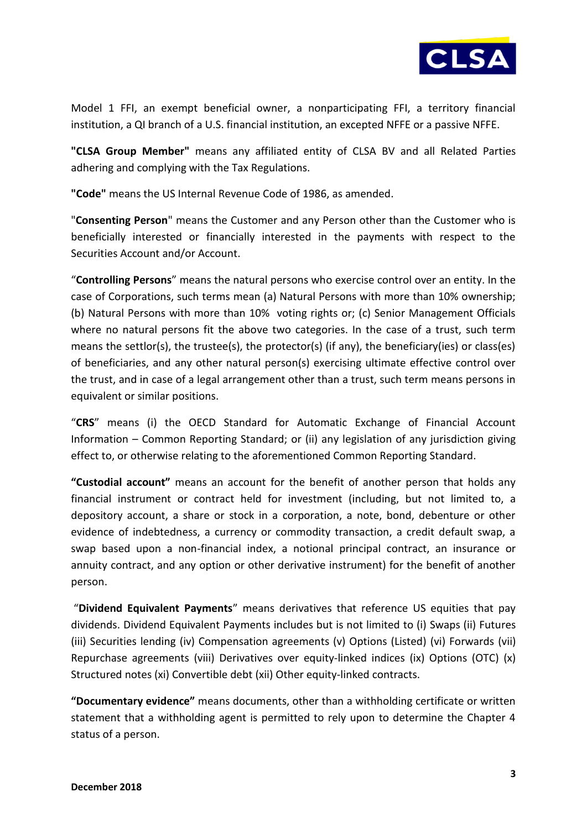

Model 1 FFI, an exempt beneficial owner, a nonparticipating FFI, a territory financial institution, a QI branch of a U.S. financial institution, an excepted NFFE or a passive NFFE.

**"CLSA Group Member"** means any affiliated entity of CLSA BV and all Related Parties adhering and complying with the Tax Regulations.

**"Code"** means the US Internal Revenue Code of 1986, as amended.

"**Consenting Person**" means the Customer and any Person other than the Customer who is beneficially interested or financially interested in the payments with respect to the Securities Account and/or Account.

"**Controlling Persons**" means the natural persons who exercise control over an entity. In the case of Corporations, such terms mean (a) Natural Persons with more than 10% ownership; (b) Natural Persons with more than 10% voting rights or; (c) Senior Management Officials where no natural persons fit the above two categories. In the case of a trust, such term means the settlor(s), the trustee(s), the protector(s) (if any), the beneficiary(ies) or class(es) of beneficiaries, and any other natural person(s) exercising ultimate effective control over the trust, and in case of a legal arrangement other than a trust, such term means persons in equivalent or similar positions.

"**CRS**" means (i) the OECD Standard for Automatic Exchange of Financial Account Information – Common Reporting Standard; or (ii) any legislation of any jurisdiction giving effect to, or otherwise relating to the aforementioned Common Reporting Standard.

**"Custodial account"** means an account for the benefit of another person that holds any financial instrument or contract held for investment (including, but not limited to, a depository account, a share or stock in a corporation, a note, bond, debenture or other evidence of indebtedness, a currency or commodity transaction, a credit default swap, a swap based upon a non-financial index, a notional principal contract, an insurance or annuity contract, and any option or other derivative instrument) for the benefit of another person.

"**Dividend Equivalent Payments**" means derivatives that reference US equities that pay dividends. Dividend Equivalent Payments includes but is not limited to (i) Swaps (ii) Futures (iii) Securities lending (iv) Compensation agreements (v) Options (Listed) (vi) Forwards (vii) Repurchase agreements (viii) Derivatives over equity-linked indices (ix) Options (OTC) (x) Structured notes (xi) Convertible debt (xii) Other equity-linked contracts.

**"Documentary evidence"** means documents, other than a withholding certificate or written statement that a withholding agent is permitted to rely upon to determine the Chapter 4 status of a person.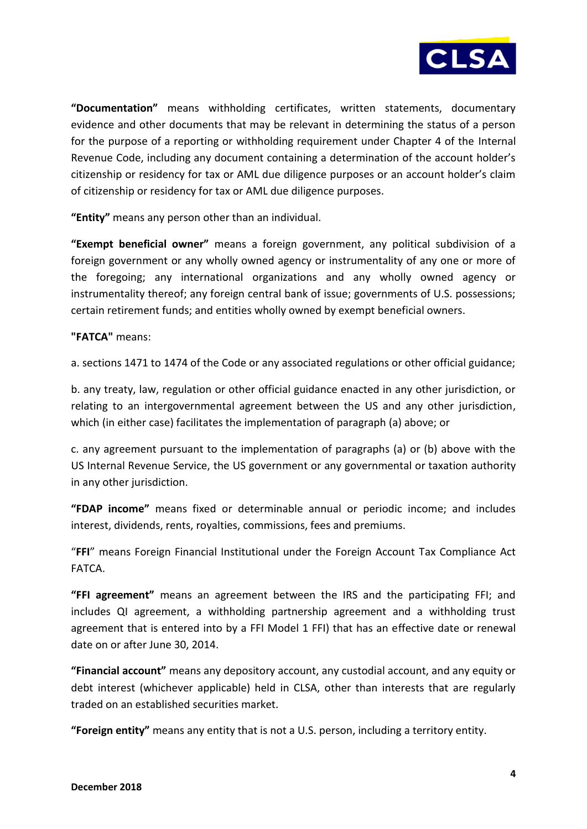

**"Documentation"** means withholding certificates, written statements, documentary evidence and other documents that may be relevant in determining the status of a person for the purpose of a reporting or withholding requirement under Chapter 4 of the Internal Revenue Code, including any document containing a determination of the account holder's citizenship or residency for tax or AML due diligence purposes or an account holder's claim of citizenship or residency for tax or AML due diligence purposes.

**"Entity"** means any person other than an individual.

**"Exempt beneficial owner"** means a foreign government, any political subdivision of a foreign government or any wholly owned agency or instrumentality of any one or more of the foregoing; any international organizations and any wholly owned agency or instrumentality thereof; any foreign central bank of issue; governments of U.S. possessions; certain retirement funds; and entities wholly owned by exempt beneficial owners.

**"FATCA"** means:

a. sections 1471 to 1474 of the Code or any associated regulations or other official guidance;

b. any treaty, law, regulation or other official guidance enacted in any other jurisdiction, or relating to an intergovernmental agreement between the US and any other jurisdiction, which (in either case) facilitates the implementation of paragraph (a) above; or

c. any agreement pursuant to the implementation of paragraphs (a) or (b) above with the US Internal Revenue Service, the US government or any governmental or taxation authority in any other jurisdiction.

**"FDAP income"** means fixed or determinable annual or periodic income; and includes interest, dividends, rents, royalties, commissions, fees and premiums.

"**FFI**" means Foreign Financial Institutional under the Foreign Account Tax Compliance Act FATCA.

**"FFI agreement"** means an agreement between the IRS and the participating FFI; and includes QI agreement, a withholding partnership agreement and a withholding trust agreement that is entered into by a FFI Model 1 FFI) that has an effective date or renewal date on or after June 30, 2014.

**"Financial account"** means any depository account, any custodial account, and any equity or debt interest (whichever applicable) held in CLSA, other than interests that are regularly traded on an established securities market.

**"Foreign entity"** means any entity that is not a U.S. person, including a territory entity.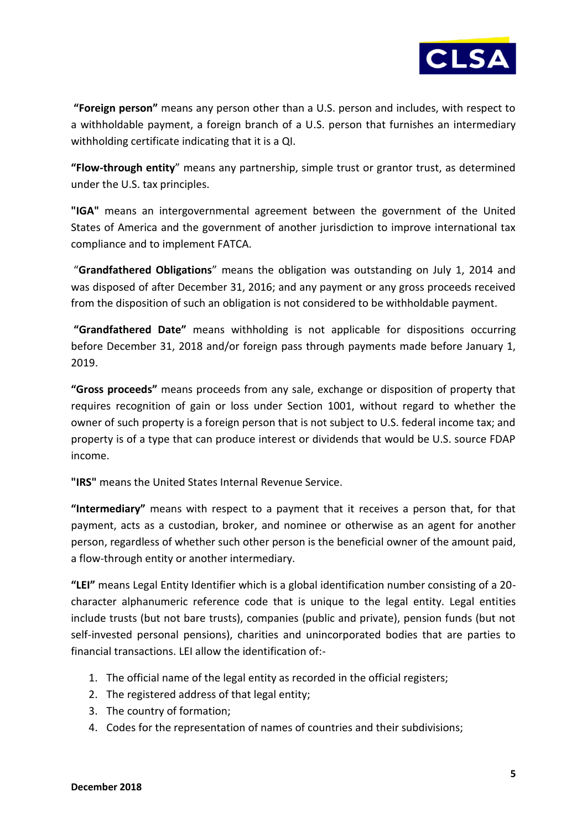

**"Foreign person"** means any person other than a U.S. person and includes, with respect to a withholdable payment, a foreign branch of a U.S. person that furnishes an intermediary withholding certificate indicating that it is a QI.

**"Flow-through entity**" means any partnership, simple trust or grantor trust, as determined under the U.S. tax principles.

**"IGA"** means an intergovernmental agreement between the government of the United States of America and the government of another jurisdiction to improve international tax compliance and to implement FATCA.

"**Grandfathered Obligations**" means the obligation was outstanding on July 1, 2014 and was disposed of after December 31, 2016; and any payment or any gross proceeds received from the disposition of such an obligation is not considered to be withholdable payment.

**"Grandfathered Date"** means withholding is not applicable for dispositions occurring before December 31, 2018 and/or foreign pass through payments made before January 1, 2019.

**"Gross proceeds"** means proceeds from any sale, exchange or disposition of property that requires recognition of gain or loss under Section 1001, without regard to whether the owner of such property is a foreign person that is not subject to U.S. federal income tax; and property is of a type that can produce interest or dividends that would be U.S. source FDAP income.

**"IRS"** means the United States Internal Revenue Service.

**"Intermediary"** means with respect to a payment that it receives a person that, for that payment, acts as a custodian, broker, and nominee or otherwise as an agent for another person, regardless of whether such other person is the beneficial owner of the amount paid, a flow-through entity or another intermediary.

**"LEI"** means Legal Entity Identifier which is a global identification number consisting of a 20 character alphanumeric reference code that is unique to the legal entity. Legal entities include trusts (but not bare trusts), companies (public and private), pension funds (but not self-invested personal pensions), charities and unincorporated bodies that are parties to financial transactions. LEI allow the identification of:-

- 1. The official name of the legal entity as recorded in the official registers;
- 2. The registered address of that legal entity;
- 3. The country of formation;
- 4. Codes for the representation of names of countries and their subdivisions;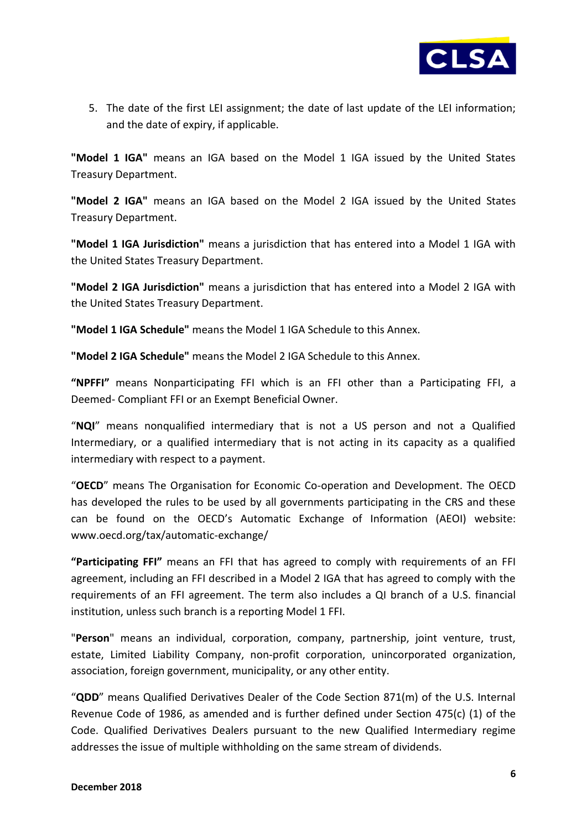

5. The date of the first LEI assignment; the date of last update of the LEI information; and the date of expiry, if applicable.

**"Model 1 IGA"** means an IGA based on the Model 1 IGA issued by the United States Treasury Department.

**"Model 2 IGA"** means an IGA based on the Model 2 IGA issued by the United States Treasury Department.

**"Model 1 IGA Jurisdiction"** means a jurisdiction that has entered into a Model 1 IGA with the United States Treasury Department.

**"Model 2 IGA Jurisdiction"** means a jurisdiction that has entered into a Model 2 IGA with the United States Treasury Department.

**"Model 1 IGA Schedule"** means the Model 1 IGA Schedule to this Annex.

**"Model 2 IGA Schedule"** means the Model 2 IGA Schedule to this Annex.

**"NPFFI"** means Nonparticipating FFI which is an FFI other than a Participating FFI, a Deemed- Compliant FFI or an Exempt Beneficial Owner.

"**NQI**" means nonqualified intermediary that is not a US person and not a Qualified Intermediary, or a qualified intermediary that is not acting in its capacity as a qualified intermediary with respect to a payment.

"**OECD**" means The Organisation for Economic Co-operation and Development. The OECD has developed the rules to be used by all governments participating in the CRS and these can be found on the OECD's Automatic Exchange of Information (AEOI) website: www.oecd.org/tax/automatic-exchange/

**"Participating FFI"** means an FFI that has agreed to comply with requirements of an FFI agreement, including an FFI described in a Model 2 IGA that has agreed to comply with the requirements of an FFI agreement. The term also includes a QI branch of a U.S. financial institution, unless such branch is a reporting Model 1 FFI.

"**Person**" means an individual, corporation, company, partnership, joint venture, trust, estate, Limited Liability Company, non-profit corporation, unincorporated organization, association, foreign government, municipality, or any other entity.

"**QDD**" means Qualified Derivatives Dealer of the Code Section 871(m) of the U.S. Internal Revenue Code of 1986, as amended and is further defined under Section 475(c) (1) of the Code. Qualified Derivatives Dealers pursuant to the new Qualified Intermediary regime addresses the issue of multiple withholding on the same stream of dividends.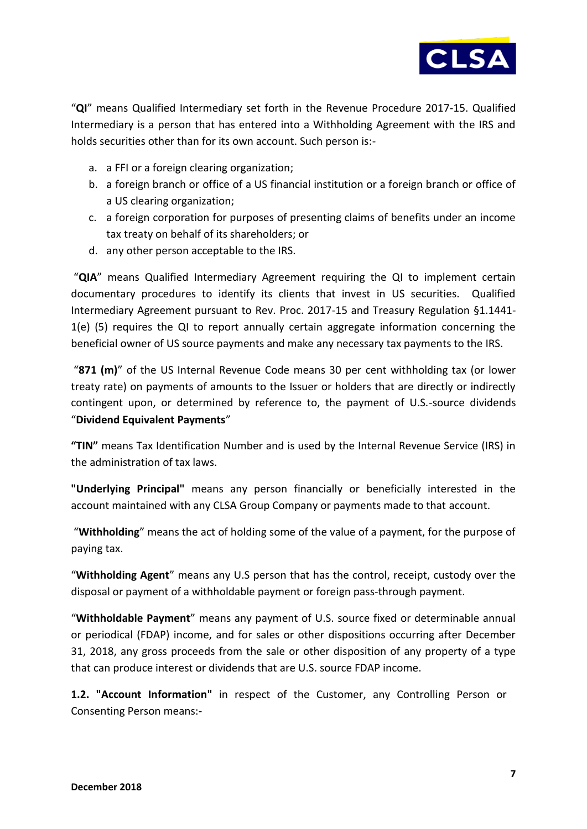

"**QI**" means Qualified Intermediary set forth in the Revenue Procedure 2017-15. Qualified Intermediary is a person that has entered into a Withholding Agreement with the IRS and holds securities other than for its own account. Such person is:-

- a. a FFI or a foreign clearing organization;
- b. a foreign branch or office of a US financial institution or a foreign branch or office of a US clearing organization;
- c. a foreign corporation for purposes of presenting claims of benefits under an income tax treaty on behalf of its shareholders; or
- d. any other person acceptable to the IRS.

"**QIA**" means Qualified Intermediary Agreement requiring the QI to implement certain documentary procedures to identify its clients that invest in US securities. Qualified Intermediary Agreement pursuant to Rev. Proc. 2017-15 and Treasury Regulation §1.1441- 1(e) (5) requires the QI to report annually certain aggregate information concerning the beneficial owner of US source payments and make any necessary tax payments to the IRS.

"**871 (m)**" of the US Internal Revenue Code means 30 per cent withholding tax (or lower treaty rate) on payments of amounts to the Issuer or holders that are directly or indirectly contingent upon, or determined by reference to, the payment of U.S.-source dividends "**Dividend Equivalent Payments**"

**"TIN"** means Tax Identification Number and is used by the Internal Revenue Service (IRS) in the administration of tax laws.

**"Underlying Principal"** means any person financially or beneficially interested in the account maintained with any CLSA Group Company or payments made to that account.

"**Withholding**" means the act of holding some of the value of a payment, for the purpose of paying tax.

"**Withholding Agent**" means any U.S person that has the control, receipt, custody over the disposal or payment of a withholdable payment or foreign pass-through payment.

"**Withholdable Payment**" means any payment of U.S. source fixed or determinable annual or periodical (FDAP) income, and for sales or other dispositions occurring after December 31, 2018, any gross proceeds from the sale or other disposition of any property of a type that can produce interest or dividends that are U.S. source FDAP income.

**1.2. "Account Information"** in respect of the Customer, any Controlling Person or Consenting Person means:-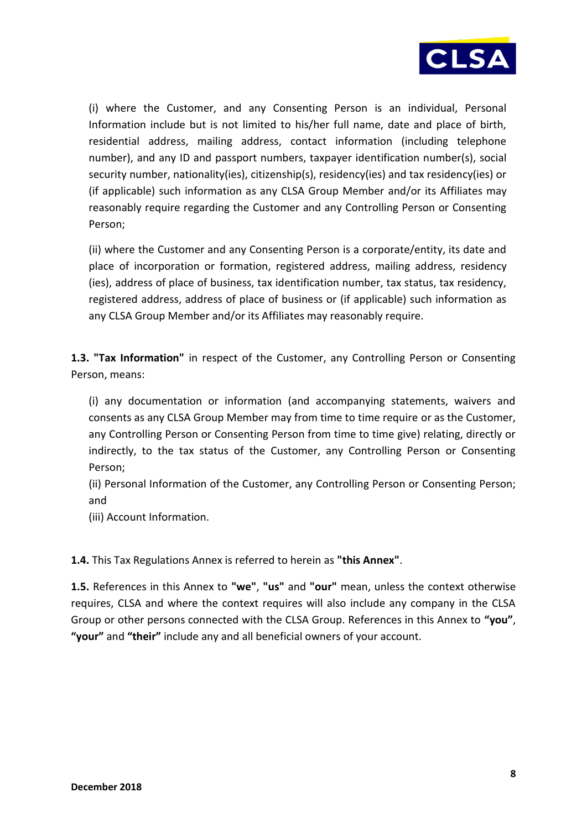

(i) where the Customer, and any Consenting Person is an individual, Personal Information include but is not limited to his/her full name, date and place of birth, residential address, mailing address, contact information (including telephone number), and any ID and passport numbers, taxpayer identification number(s), social security number, nationality(ies), citizenship(s), residency(ies) and tax residency(ies) or (if applicable) such information as any CLSA Group Member and/or its Affiliates may reasonably require regarding the Customer and any Controlling Person or Consenting Person;

(ii) where the Customer and any Consenting Person is a corporate/entity, its date and place of incorporation or formation, registered address, mailing address, residency (ies), address of place of business, tax identification number, tax status, tax residency, registered address, address of place of business or (if applicable) such information as any CLSA Group Member and/or its Affiliates may reasonably require.

**1.3. "Tax Information"** in respect of the Customer, any Controlling Person or Consenting Person, means:

(i) any documentation or information (and accompanying statements, waivers and consents as any CLSA Group Member may from time to time require or as the Customer, any Controlling Person or Consenting Person from time to time give) relating, directly or indirectly, to the tax status of the Customer, any Controlling Person or Consenting Person;

(ii) Personal Information of the Customer, any Controlling Person or Consenting Person; and

(iii) Account Information.

**1.4.** This Tax Regulations Annex is referred to herein as **"this Annex"**.

**1.5.** References in this Annex to **"we"**, **"us"** and **"our"** mean, unless the context otherwise requires, CLSA and where the context requires will also include any company in the CLSA Group or other persons connected with the CLSA Group. References in this Annex to **"you"**, **"your"** and **"their"** include any and all beneficial owners of your account.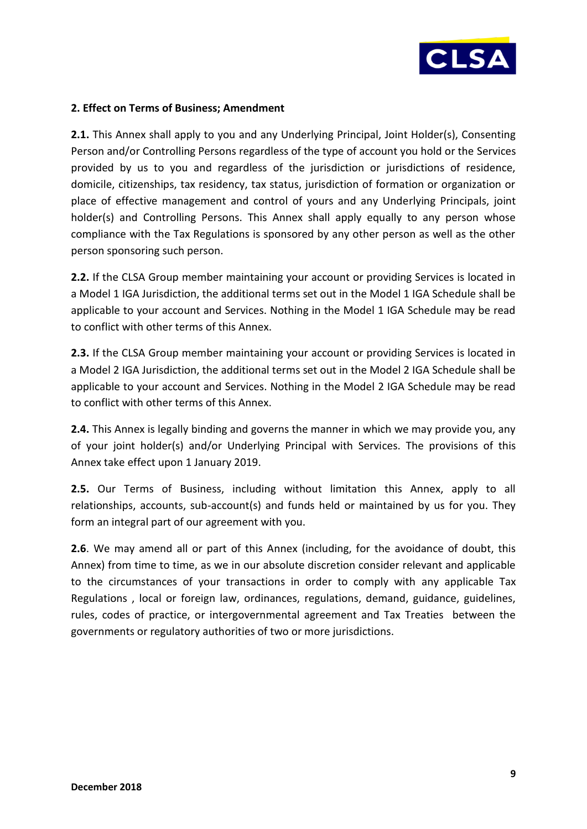

### **2. Effect on Terms of Business; Amendment**

**2.1.** This Annex shall apply to you and any Underlying Principal, Joint Holder(s), Consenting Person and/or Controlling Persons regardless of the type of account you hold or the Services provided by us to you and regardless of the jurisdiction or jurisdictions of residence, domicile, citizenships, tax residency, tax status, jurisdiction of formation or organization or place of effective management and control of yours and any Underlying Principals, joint holder(s) and Controlling Persons. This Annex shall apply equally to any person whose compliance with the Tax Regulations is sponsored by any other person as well as the other person sponsoring such person.

**2.2.** If the CLSA Group member maintaining your account or providing Services is located in a Model 1 IGA Jurisdiction, the additional terms set out in the Model 1 IGA Schedule shall be applicable to your account and Services. Nothing in the Model 1 IGA Schedule may be read to conflict with other terms of this Annex.

**2.3.** If the CLSA Group member maintaining your account or providing Services is located in a Model 2 IGA Jurisdiction, the additional terms set out in the Model 2 IGA Schedule shall be applicable to your account and Services. Nothing in the Model 2 IGA Schedule may be read to conflict with other terms of this Annex.

**2.4.** This Annex is legally binding and governs the manner in which we may provide you, any of your joint holder(s) and/or Underlying Principal with Services. The provisions of this Annex take effect upon 1 January 2019.

**2.5.** Our Terms of Business, including without limitation this Annex, apply to all relationships, accounts, sub-account(s) and funds held or maintained by us for you. They form an integral part of our agreement with you.

**2.6**. We may amend all or part of this Annex (including, for the avoidance of doubt, this Annex) from time to time, as we in our absolute discretion consider relevant and applicable to the circumstances of your transactions in order to comply with any applicable Tax Regulations , local or foreign law, ordinances, regulations, demand, guidance, guidelines, rules, codes of practice, or intergovernmental agreement and Tax Treaties between the governments or regulatory authorities of two or more jurisdictions.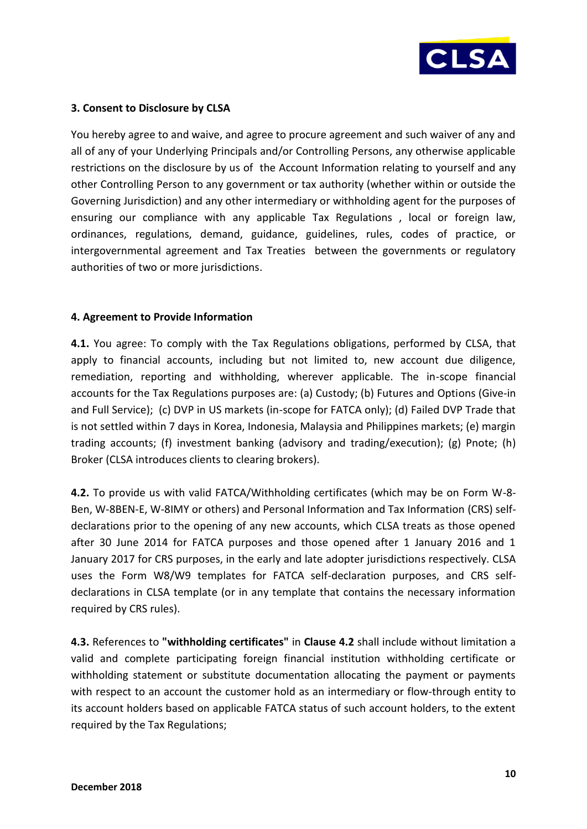

# **3. Consent to Disclosure by CLSA**

You hereby agree to and waive, and agree to procure agreement and such waiver of any and all of any of your Underlying Principals and/or Controlling Persons, any otherwise applicable restrictions on the disclosure by us of the Account Information relating to yourself and any other Controlling Person to any government or tax authority (whether within or outside the Governing Jurisdiction) and any other intermediary or withholding agent for the purposes of ensuring our compliance with any applicable Tax Regulations , local or foreign law, ordinances, regulations, demand, guidance, guidelines, rules, codes of practice, or intergovernmental agreement and Tax Treaties between the governments or regulatory authorities of two or more jurisdictions.

### **4. Agreement to Provide Information**

**4.1.** You agree: To comply with the Tax Regulations obligations, performed by CLSA, that apply to financial accounts, including but not limited to, new account due diligence, remediation, reporting and withholding, wherever applicable. The in-scope financial accounts for the Tax Regulations purposes are: (a) Custody; (b) Futures and Options (Give-in and Full Service); (c) DVP in US markets (in-scope for FATCA only); (d) Failed DVP Trade that is not settled within 7 days in Korea, Indonesia, Malaysia and Philippines markets; (e) margin trading accounts; (f) investment banking (advisory and trading/execution); (g) Pnote; (h) Broker (CLSA introduces clients to clearing brokers).

**4.2.** To provide us with valid FATCA/Withholding certificates (which may be on Form W-8- Ben, W-8BEN-E, W-8IMY or others) and Personal Information and Tax Information (CRS) selfdeclarations prior to the opening of any new accounts, which CLSA treats as those opened after 30 June 2014 for FATCA purposes and those opened after 1 January 2016 and 1 January 2017 for CRS purposes, in the early and late adopter jurisdictions respectively. CLSA uses the Form W8/W9 templates for FATCA self-declaration purposes, and CRS selfdeclarations in CLSA template (or in any template that contains the necessary information required by CRS rules).

**4.3.** References to **"withholding certificates"** in **Clause 4.2** shall include without limitation a valid and complete participating foreign financial institution withholding certificate or withholding statement or substitute documentation allocating the payment or payments with respect to an account the customer hold as an intermediary or flow-through entity to its account holders based on applicable FATCA status of such account holders, to the extent required by the Tax Regulations;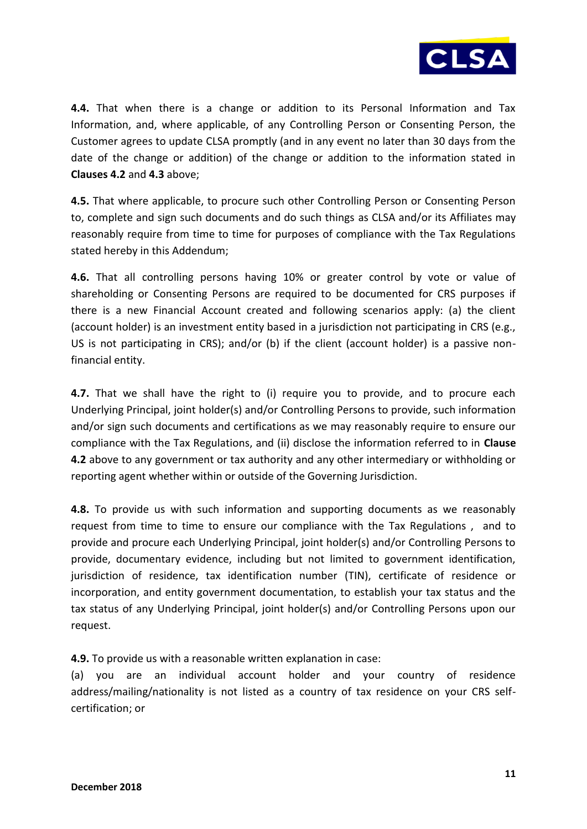

**4.4.** That when there is a change or addition to its Personal Information and Tax Information, and, where applicable, of any Controlling Person or Consenting Person, the Customer agrees to update CLSA promptly (and in any event no later than 30 days from the date of the change or addition) of the change or addition to the information stated in **Clauses 4.2** and **4.3** above;

**4.5.** That where applicable, to procure such other Controlling Person or Consenting Person to, complete and sign such documents and do such things as CLSA and/or its Affiliates may reasonably require from time to time for purposes of compliance with the Tax Regulations stated hereby in this Addendum;

**4.6.** That all controlling persons having 10% or greater control by vote or value of shareholding or Consenting Persons are required to be documented for CRS purposes if there is a new Financial Account created and following scenarios apply: (a) the client (account holder) is an investment entity based in a jurisdiction not participating in CRS (e.g., US is not participating in CRS); and/or (b) if the client (account holder) is a passive nonfinancial entity.

**4.7.** That we shall have the right to (i) require you to provide, and to procure each Underlying Principal, joint holder(s) and/or Controlling Persons to provide, such information and/or sign such documents and certifications as we may reasonably require to ensure our compliance with the Tax Regulations, and (ii) disclose the information referred to in **Clause 4.2** above to any government or tax authority and any other intermediary or withholding or reporting agent whether within or outside of the Governing Jurisdiction.

**4.8.** To provide us with such information and supporting documents as we reasonably request from time to time to ensure our compliance with the Tax Regulations , and to provide and procure each Underlying Principal, joint holder(s) and/or Controlling Persons to provide, documentary evidence, including but not limited to government identification, jurisdiction of residence, tax identification number (TIN), certificate of residence or incorporation, and entity government documentation, to establish your tax status and the tax status of any Underlying Principal, joint holder(s) and/or Controlling Persons upon our request.

**4.9.** To provide us with a reasonable written explanation in case:

(a) you are an individual account holder and your country of residence address/mailing/nationality is not listed as a country of tax residence on your CRS selfcertification; or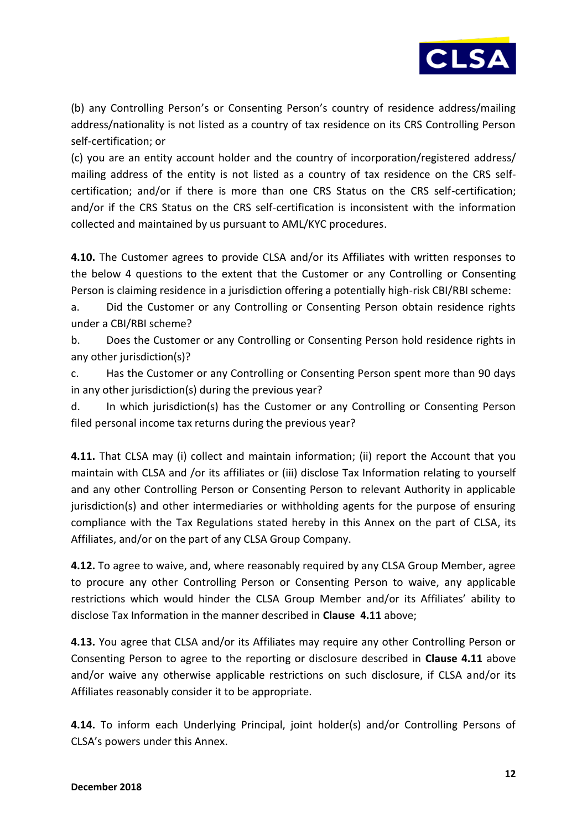

(b) any Controlling Person's or Consenting Person's country of residence address/mailing address/nationality is not listed as a country of tax residence on its CRS Controlling Person self-certification; or

(c) you are an entity account holder and the country of incorporation/registered address/ mailing address of the entity is not listed as a country of tax residence on the CRS selfcertification; and/or if there is more than one CRS Status on the CRS self-certification; and/or if the CRS Status on the CRS self-certification is inconsistent with the information collected and maintained by us pursuant to AML/KYC procedures.

**4.10.** The Customer agrees to provide CLSA and/or its Affiliates with written responses to the below 4 questions to the extent that the Customer or any Controlling or Consenting Person is claiming residence in a jurisdiction offering a potentially high-risk CBI/RBI scheme:

a. Did the Customer or any Controlling or Consenting Person obtain residence rights under a CBI/RBI scheme?

b. Does the Customer or any Controlling or Consenting Person hold residence rights in any other jurisdiction(s)?

c. Has the Customer or any Controlling or Consenting Person spent more than 90 days in any other jurisdiction(s) during the previous year?

d. In which jurisdiction(s) has the Customer or any Controlling or Consenting Person filed personal income tax returns during the previous year?

**4.11.** That CLSA may (i) collect and maintain information; (ii) report the Account that you maintain with CLSA and /or its affiliates or (iii) disclose Tax Information relating to yourself and any other Controlling Person or Consenting Person to relevant Authority in applicable jurisdiction(s) and other intermediaries or withholding agents for the purpose of ensuring compliance with the Tax Regulations stated hereby in this Annex on the part of CLSA, its Affiliates, and/or on the part of any CLSA Group Company.

**4.12.** To agree to waive, and, where reasonably required by any CLSA Group Member, agree to procure any other Controlling Person or Consenting Person to waive, any applicable restrictions which would hinder the CLSA Group Member and/or its Affiliates' ability to disclose Tax Information in the manner described in **Clause 4.11** above;

**4.13.** You agree that CLSA and/or its Affiliates may require any other Controlling Person or Consenting Person to agree to the reporting or disclosure described in **Clause 4.11** above and/or waive any otherwise applicable restrictions on such disclosure, if CLSA and/or its Affiliates reasonably consider it to be appropriate.

**4.14.** To inform each Underlying Principal, joint holder(s) and/or Controlling Persons of CLSA's powers under this Annex.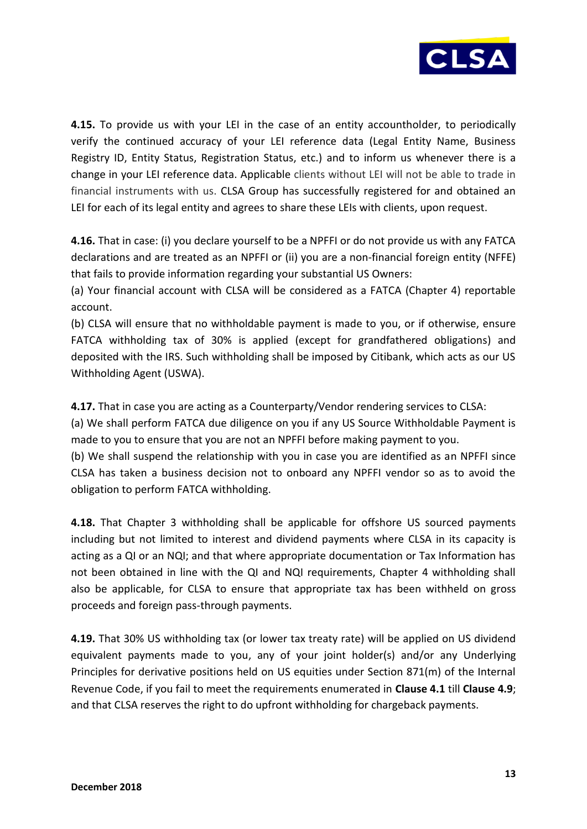

**4.15.** To provide us with your LEI in the case of an entity accountholder, to periodically verify the continued accuracy of your LEI reference data (Legal Entity Name, Business Registry ID, Entity Status, Registration Status, etc.) and to inform us whenever there is a change in your LEI reference data. Applicable clients without LEI will not be able to trade in financial instruments with us. CLSA Group has successfully registered for and obtained an LEI for each of its legal entity and agrees to share these LEIs with clients, upon request.

**4.16.** That in case: (i) you declare yourself to be a NPFFI or do not provide us with any FATCA declarations and are treated as an NPFFI or (ii) you are a non-financial foreign entity (NFFE) that fails to provide information regarding your substantial US Owners:

(a) Your financial account with CLSA will be considered as a FATCA (Chapter 4) reportable account.

(b) CLSA will ensure that no withholdable payment is made to you, or if otherwise, ensure FATCA withholding tax of 30% is applied (except for grandfathered obligations) and deposited with the IRS. Such withholding shall be imposed by Citibank, which acts as our US Withholding Agent (USWA).

**4.17.** That in case you are acting as a Counterparty/Vendor rendering services to CLSA:

(a) We shall perform FATCA due diligence on you if any US Source Withholdable Payment is made to you to ensure that you are not an NPFFI before making payment to you.

(b) We shall suspend the relationship with you in case you are identified as an NPFFI since CLSA has taken a business decision not to onboard any NPFFI vendor so as to avoid the obligation to perform FATCA withholding.

**4.18.** That Chapter 3 withholding shall be applicable for offshore US sourced payments including but not limited to interest and dividend payments where CLSA in its capacity is acting as a QI or an NQI; and that where appropriate documentation or Tax Information has not been obtained in line with the QI and NQI requirements, Chapter 4 withholding shall also be applicable, for CLSA to ensure that appropriate tax has been withheld on gross proceeds and foreign pass-through payments.

**4.19.** That 30% US withholding tax (or lower tax treaty rate) will be applied on US dividend equivalent payments made to you, any of your joint holder(s) and/or any Underlying Principles for derivative positions held on US equities under Section 871(m) of the Internal Revenue Code, if you fail to meet the requirements enumerated in **Clause 4.1** till **Clause 4.9**; and that CLSA reserves the right to do upfront withholding for chargeback payments.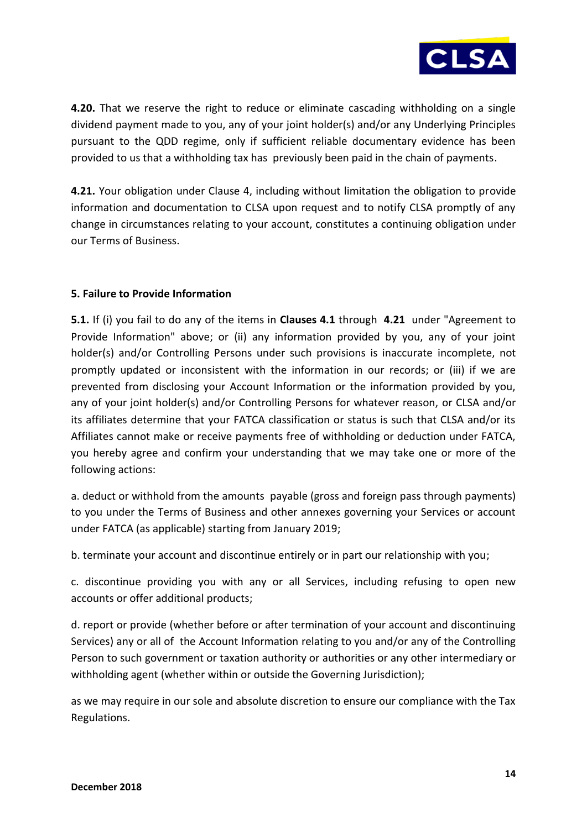

**4.20.** That we reserve the right to reduce or eliminate cascading withholding on a single dividend payment made to you, any of your joint holder(s) and/or any Underlying Principles pursuant to the QDD regime, only if sufficient reliable documentary evidence has been provided to us that a withholding tax has previously been paid in the chain of payments.

**4.21.** Your obligation under Clause 4, including without limitation the obligation to provide information and documentation to CLSA upon request and to notify CLSA promptly of any change in circumstances relating to your account, constitutes a continuing obligation under our Terms of Business.

# **5. Failure to Provide Information**

**5.1.** If (i) you fail to do any of the items in **Clauses 4.1** through **4.21** under "Agreement to Provide Information" above; or (ii) any information provided by you, any of your joint holder(s) and/or Controlling Persons under such provisions is inaccurate incomplete, not promptly updated or inconsistent with the information in our records; or (iii) if we are prevented from disclosing your Account Information or the information provided by you, any of your joint holder(s) and/or Controlling Persons for whatever reason, or CLSA and/or its affiliates determine that your FATCA classification or status is such that CLSA and/or its Affiliates cannot make or receive payments free of withholding or deduction under FATCA, you hereby agree and confirm your understanding that we may take one or more of the following actions:

a. deduct or withhold from the amounts payable (gross and foreign pass through payments) to you under the Terms of Business and other annexes governing your Services or account under FATCA (as applicable) starting from January 2019;

b. terminate your account and discontinue entirely or in part our relationship with you;

c. discontinue providing you with any or all Services, including refusing to open new accounts or offer additional products;

d. report or provide (whether before or after termination of your account and discontinuing Services) any or all of the Account Information relating to you and/or any of the Controlling Person to such government or taxation authority or authorities or any other intermediary or withholding agent (whether within or outside the Governing Jurisdiction);

as we may require in our sole and absolute discretion to ensure our compliance with the Tax Regulations.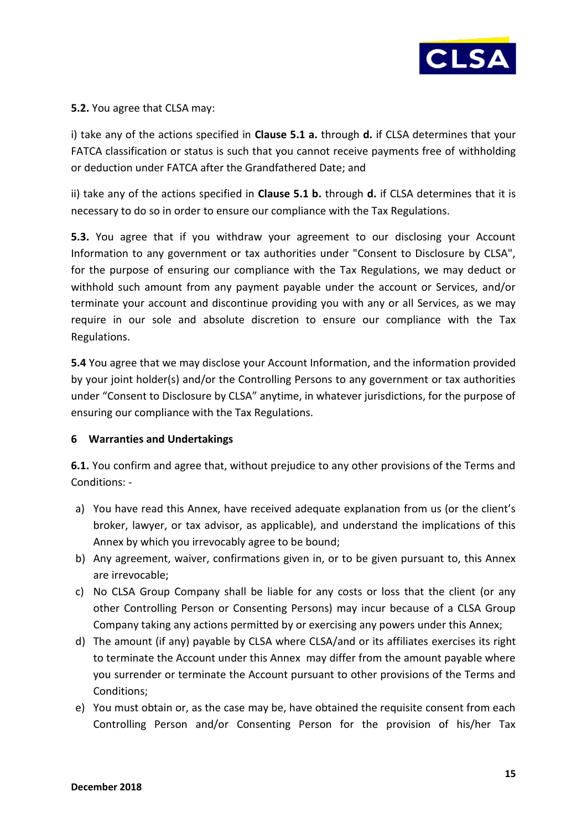

# **5.2.** You agree that CLSA may:

i) take any of the actions specified in **Clause 5.1 a.** through **d.** if CLSA determines that your FATCA classification or status is such that you cannot receive payments free of withholding or deduction under FATCA after the Grandfathered Date; and

ii) take any of the actions specified in **Clause 5.1 b.** through **d.** if CLSA determines that it is necessary to do so in order to ensure our compliance with the Tax Regulations.

**5.3.** You agree that if you withdraw your agreement to our disclosing your Account Information to any government or tax authorities under "Consent to Disclosure by CLSA", for the purpose of ensuring our compliance with the Tax Regulations, we may deduct or withhold such amount from any payment payable under the account or Services, and/or terminate your account and discontinue providing you with any or all Services, as we may require in our sole and absolute discretion to ensure our compliance with the Tax Regulations.

**5.4** You agree that we may disclose your Account Information, and the information provided by your joint holder(s) and/or the Controlling Persons to any government or tax authorities under "Consent to Disclosure by CLSA" anytime, in whatever jurisdictions, for the purpose of ensuring our compliance with the Tax Regulations.

### **6 Warranties and Undertakings**

**6.1.** You confirm and agree that, without prejudice to any other provisions of the Terms and Conditions: -

- a) You have read this Annex, have received adequate explanation from us (or the client's broker, lawyer, or tax advisor, as applicable), and understand the implications of this Annex by which you irrevocably agree to be bound;
- b) Any agreement, waiver, confirmations given in, or to be given pursuant to, this Annex are irrevocable;
- c) No CLSA Group Company shall be liable for any costs or loss that the client (or any other Controlling Person or Consenting Persons) may incur because of a CLSA Group Company taking any actions permitted by or exercising any powers under this Annex;
- d) The amount (if any) payable by CLSA where CLSA/and or its affiliates exercises its right to terminate the Account under this Annex may differ from the amount payable where you surrender or terminate the Account pursuant to other provisions of the Terms and Conditions;
- e) You must obtain or, as the case may be, have obtained the requisite consent from each Controlling Person and/or Consenting Person for the provision of his/her Tax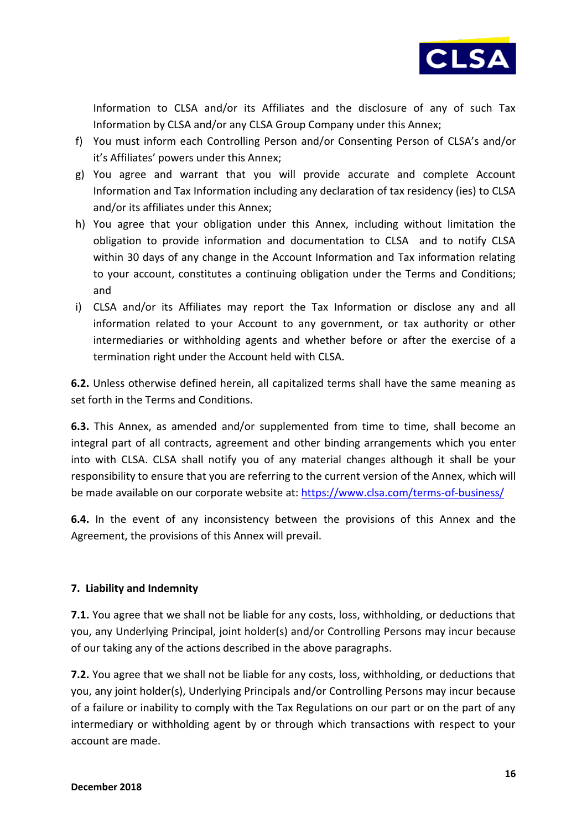

Information to CLSA and/or its Affiliates and the disclosure of any of such Tax Information by CLSA and/or any CLSA Group Company under this Annex;

- f) You must inform each Controlling Person and/or Consenting Person of CLSA's and/or it's Affiliates' powers under this Annex;
- g) You agree and warrant that you will provide accurate and complete Account Information and Tax Information including any declaration of tax residency (ies) to CLSA and/or its affiliates under this Annex;
- h) You agree that your obligation under this Annex, including without limitation the obligation to provide information and documentation to CLSA and to notify CLSA within 30 days of any change in the Account Information and Tax information relating to your account, constitutes a continuing obligation under the Terms and Conditions; and
- i) CLSA and/or its Affiliates may report the Tax Information or disclose any and all information related to your Account to any government, or tax authority or other intermediaries or withholding agents and whether before or after the exercise of a termination right under the Account held with CLSA.

**6.2.** Unless otherwise defined herein, all capitalized terms shall have the same meaning as set forth in the Terms and Conditions.

**6.3.** This Annex, as amended and/or supplemented from time to time, shall become an integral part of all contracts, agreement and other binding arrangements which you enter into with CLSA. CLSA shall notify you of any material changes although it shall be your responsibility to ensure that you are referring to the current version of the Annex, which will be made available on our corporate website at:<https://www.clsa.com/terms-of-business/>

**6.4.** In the event of any inconsistency between the provisions of this Annex and the Agreement, the provisions of this Annex will prevail.

# **7. Liability and Indemnity**

**7.1.** You agree that we shall not be liable for any costs, loss, withholding, or deductions that you, any Underlying Principal, joint holder(s) and/or Controlling Persons may incur because of our taking any of the actions described in the above paragraphs.

**7.2.** You agree that we shall not be liable for any costs, loss, withholding, or deductions that you, any joint holder(s), Underlying Principals and/or Controlling Persons may incur because of a failure or inability to comply with the Tax Regulations on our part or on the part of any intermediary or withholding agent by or through which transactions with respect to your account are made.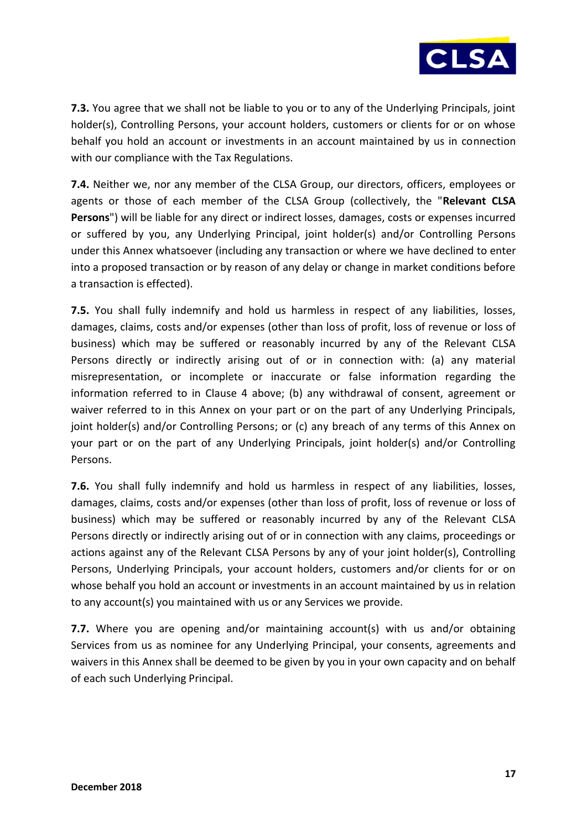

**7.3.** You agree that we shall not be liable to you or to any of the Underlying Principals, joint holder(s), Controlling Persons, your account holders, customers or clients for or on whose behalf you hold an account or investments in an account maintained by us in connection with our compliance with the Tax Regulations.

**7.4.** Neither we, nor any member of the CLSA Group, our directors, officers, employees or agents or those of each member of the CLSA Group (collectively, the "**Relevant CLSA Persons**") will be liable for any direct or indirect losses, damages, costs or expenses incurred or suffered by you, any Underlying Principal, joint holder(s) and/or Controlling Persons under this Annex whatsoever (including any transaction or where we have declined to enter into a proposed transaction or by reason of any delay or change in market conditions before a transaction is effected).

**7.5.** You shall fully indemnify and hold us harmless in respect of any liabilities, losses, damages, claims, costs and/or expenses (other than loss of profit, loss of revenue or loss of business) which may be suffered or reasonably incurred by any of the Relevant CLSA Persons directly or indirectly arising out of or in connection with: (a) any material misrepresentation, or incomplete or inaccurate or false information regarding the information referred to in Clause 4 above; (b) any withdrawal of consent, agreement or waiver referred to in this Annex on your part or on the part of any Underlying Principals, joint holder(s) and/or Controlling Persons; or (c) any breach of any terms of this Annex on your part or on the part of any Underlying Principals, joint holder(s) and/or Controlling Persons.

**7.6.** You shall fully indemnify and hold us harmless in respect of any liabilities, losses, damages, claims, costs and/or expenses (other than loss of profit, loss of revenue or loss of business) which may be suffered or reasonably incurred by any of the Relevant CLSA Persons directly or indirectly arising out of or in connection with any claims, proceedings or actions against any of the Relevant CLSA Persons by any of your joint holder(s), Controlling Persons, Underlying Principals, your account holders, customers and/or clients for or on whose behalf you hold an account or investments in an account maintained by us in relation to any account(s) you maintained with us or any Services we provide.

**7.7.** Where you are opening and/or maintaining account(s) with us and/or obtaining Services from us as nominee for any Underlying Principal, your consents, agreements and waivers in this Annex shall be deemed to be given by you in your own capacity and on behalf of each such Underlying Principal.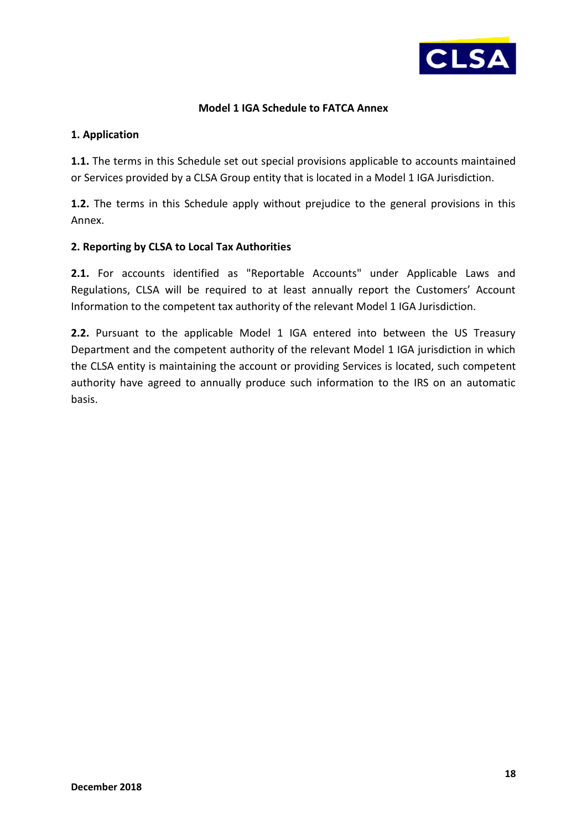

# **Model 1 IGA Schedule to FATCA Annex**

### **1. Application**

**1.1.** The terms in this Schedule set out special provisions applicable to accounts maintained or Services provided by a CLSA Group entity that is located in a Model 1 IGA Jurisdiction.

**1.2.** The terms in this Schedule apply without prejudice to the general provisions in this Annex.

# **2. Reporting by CLSA to Local Tax Authorities**

**2.1.** For accounts identified as "Reportable Accounts" under Applicable Laws and Regulations, CLSA will be required to at least annually report the Customers' Account Information to the competent tax authority of the relevant Model 1 IGA Jurisdiction.

**2.2.** Pursuant to the applicable Model 1 IGA entered into between the US Treasury Department and the competent authority of the relevant Model 1 IGA jurisdiction in which the CLSA entity is maintaining the account or providing Services is located, such competent authority have agreed to annually produce such information to the IRS on an automatic basis.